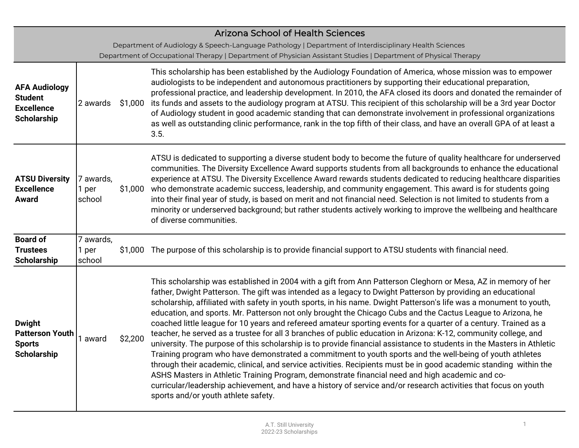|                                                                                                                 |                              |         | <b>Arizona School of Health Sciences</b>                                                                                                                                                                                                                                                                                                                                                                                                                                                                                                                                                                                                                                                                                                                                                                                                                                                                                                                                                                                                                                                                                                                                                                                                                                                                                        |  |  |  |  |  |
|-----------------------------------------------------------------------------------------------------------------|------------------------------|---------|---------------------------------------------------------------------------------------------------------------------------------------------------------------------------------------------------------------------------------------------------------------------------------------------------------------------------------------------------------------------------------------------------------------------------------------------------------------------------------------------------------------------------------------------------------------------------------------------------------------------------------------------------------------------------------------------------------------------------------------------------------------------------------------------------------------------------------------------------------------------------------------------------------------------------------------------------------------------------------------------------------------------------------------------------------------------------------------------------------------------------------------------------------------------------------------------------------------------------------------------------------------------------------------------------------------------------------|--|--|--|--|--|
| Department of Audiology & Speech-Language Pathology   Department of Interdisciplinary Health Sciences           |                              |         |                                                                                                                                                                                                                                                                                                                                                                                                                                                                                                                                                                                                                                                                                                                                                                                                                                                                                                                                                                                                                                                                                                                                                                                                                                                                                                                                 |  |  |  |  |  |
| Department of Occupational Therapy   Department of Physician Assistant Studies   Department of Physical Therapy |                              |         |                                                                                                                                                                                                                                                                                                                                                                                                                                                                                                                                                                                                                                                                                                                                                                                                                                                                                                                                                                                                                                                                                                                                                                                                                                                                                                                                 |  |  |  |  |  |
| <b>AFA Audiology</b><br><b>Student</b><br><b>Excellence</b><br><b>Scholarship</b>                               | 2 awards                     | \$1,000 | This scholarship has been established by the Audiology Foundation of America, whose mission was to empower<br>audiologists to be independent and autonomous practitioners by supporting their educational preparation,<br>professional practice, and leadership development. In 2010, the AFA closed its doors and donated the remainder of<br>its funds and assets to the audiology program at ATSU. This recipient of this scholarship will be a 3rd year Doctor<br>of Audiology student in good academic standing that can demonstrate involvement in professional organizations<br>as well as outstanding clinic performance, rank in the top fifth of their class, and have an overall GPA of at least a<br>3.5.                                                                                                                                                                                                                                                                                                                                                                                                                                                                                                                                                                                                           |  |  |  |  |  |
| <b>ATSU Diversity</b><br><b>Excellence</b><br>Award                                                             | 7 awards,<br>1 per<br>school | \$1,000 | ATSU is dedicated to supporting a diverse student body to become the future of quality healthcare for underserved<br>communities. The Diversity Excellence Award supports students from all backgrounds to enhance the educational<br>experience at ATSU. The Diversity Excellence Award rewards students dedicated to reducing healthcare disparities<br>who demonstrate academic success, leadership, and community engagement. This award is for students going<br>into their final year of study, is based on merit and not financial need. Selection is not limited to students from a<br>minority or underserved background; but rather students actively working to improve the wellbeing and healthcare<br>of diverse communities.                                                                                                                                                                                                                                                                                                                                                                                                                                                                                                                                                                                      |  |  |  |  |  |
| <b>Board of</b><br><b>Trustees</b><br><b>Scholarship</b>                                                        | 7 awards,<br>1 per<br>school | \$1,000 | The purpose of this scholarship is to provide financial support to ATSU students with financial need.                                                                                                                                                                                                                                                                                                                                                                                                                                                                                                                                                                                                                                                                                                                                                                                                                                                                                                                                                                                                                                                                                                                                                                                                                           |  |  |  |  |  |
| <b>Dwight</b><br><b>Patterson Youth</b><br><b>Sports</b><br><b>Scholarship</b>                                  | 1 award                      | \$2,200 | This scholarship was established in 2004 with a gift from Ann Patterson Cleghorn or Mesa, AZ in memory of her<br>father, Dwight Patterson. The gift was intended as a legacy to Dwight Patterson by providing an educational<br>scholarship, affiliated with safety in youth sports, in his name. Dwight Patterson's life was a monument to youth,<br>education, and sports. Mr. Patterson not only brought the Chicago Cubs and the Cactus League to Arizona, he<br>coached little league for 10 years and refereed amateur sporting events for a quarter of a century. Trained as a<br>teacher, he served as a trustee for all 3 branches of public education in Arizona: K-12, community college, and<br>university. The purpose of this scholarship is to provide financial assistance to students in the Masters in Athletic<br>Training program who have demonstrated a commitment to youth sports and the well-being of youth athletes<br>through their academic, clinical, and service activities. Recipients must be in good academic standing within the<br>ASHS Masters in Athletic Training Program, demonstrate financial need and high academic and co-<br>curricular/leadership achievement, and have a history of service and/or research activities that focus on youth<br>sports and/or youth athlete safety. |  |  |  |  |  |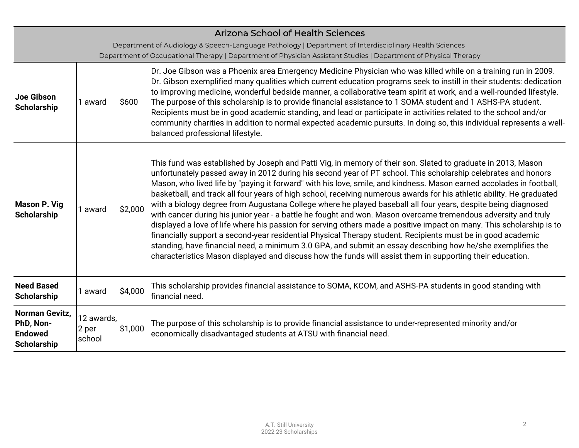| <b>Arizona School of Health Sciences</b>                                                                        |                                 |         |                                                                                                                                                                                                                                                                                                                                                                                                                                                                                                                                                                                                                                                                                                                                                                                                                                                                                                                                                                                                                                                                                                                                                                                      |  |  |  |  |  |
|-----------------------------------------------------------------------------------------------------------------|---------------------------------|---------|--------------------------------------------------------------------------------------------------------------------------------------------------------------------------------------------------------------------------------------------------------------------------------------------------------------------------------------------------------------------------------------------------------------------------------------------------------------------------------------------------------------------------------------------------------------------------------------------------------------------------------------------------------------------------------------------------------------------------------------------------------------------------------------------------------------------------------------------------------------------------------------------------------------------------------------------------------------------------------------------------------------------------------------------------------------------------------------------------------------------------------------------------------------------------------------|--|--|--|--|--|
| Department of Audiology & Speech-Language Pathology   Department of Interdisciplinary Health Sciences           |                                 |         |                                                                                                                                                                                                                                                                                                                                                                                                                                                                                                                                                                                                                                                                                                                                                                                                                                                                                                                                                                                                                                                                                                                                                                                      |  |  |  |  |  |
| Department of Occupational Therapy   Department of Physician Assistant Studies   Department of Physical Therapy |                                 |         |                                                                                                                                                                                                                                                                                                                                                                                                                                                                                                                                                                                                                                                                                                                                                                                                                                                                                                                                                                                                                                                                                                                                                                                      |  |  |  |  |  |
| <b>Joe Gibson</b><br><b>Scholarship</b>                                                                         | award                           | \$600   | Dr. Joe Gibson was a Phoenix area Emergency Medicine Physician who was killed while on a training run in 2009.<br>Dr. Gibson exemplified many qualities which current education programs seek to instill in their students: dedication<br>to improving medicine, wonderful bedside manner, a collaborative team spirit at work, and a well-rounded lifestyle.<br>The purpose of this scholarship is to provide financial assistance to 1 SOMA student and 1 ASHS-PA student.<br>Recipients must be in good academic standing, and lead or participate in activities related to the school and/or<br>community charities in addition to normal expected academic pursuits. In doing so, this individual represents a well-<br>balanced professional lifestyle.                                                                                                                                                                                                                                                                                                                                                                                                                        |  |  |  |  |  |
| <b>Mason P. Vig</b><br><b>Scholarship</b>                                                                       | award                           | \$2,000 | This fund was established by Joseph and Patti Vig, in memory of their son. Slated to graduate in 2013, Mason<br>unfortunately passed away in 2012 during his second year of PT school. This scholarship celebrates and honors<br>Mason, who lived life by "paying it forward" with his love, smile, and kindness. Mason earned accolades in football,<br>basketball, and track all four years of high school, receiving numerous awards for his athletic ability. He graduated<br>with a biology degree from Augustana College where he played baseball all four years, despite being diagnosed<br>with cancer during his junior year - a battle he fought and won. Mason overcame tremendous adversity and truly<br>displayed a love of life where his passion for serving others made a positive impact on many. This scholarship is to<br>financially support a second-year residential Physical Therapy student. Recipients must be in good academic<br>standing, have financial need, a minimum 3.0 GPA, and submit an essay describing how he/she exemplifies the<br>characteristics Mason displayed and discuss how the funds will assist them in supporting their education. |  |  |  |  |  |
| <b>Need Based</b><br><b>Scholarship</b>                                                                         | award                           | \$4,000 | This scholarship provides financial assistance to SOMA, KCOM, and ASHS-PA students in good standing with<br>financial need.                                                                                                                                                                                                                                                                                                                                                                                                                                                                                                                                                                                                                                                                                                                                                                                                                                                                                                                                                                                                                                                          |  |  |  |  |  |
| <b>Norman Gevitz,</b><br>PhD, Non-<br><b>Endowed</b><br><b>Scholarship</b>                                      | 12 awards,<br>$2$ per<br>school | \$1,000 | The purpose of this scholarship is to provide financial assistance to under-represented minority and/or<br>economically disadvantaged students at ATSU with financial need.                                                                                                                                                                                                                                                                                                                                                                                                                                                                                                                                                                                                                                                                                                                                                                                                                                                                                                                                                                                                          |  |  |  |  |  |